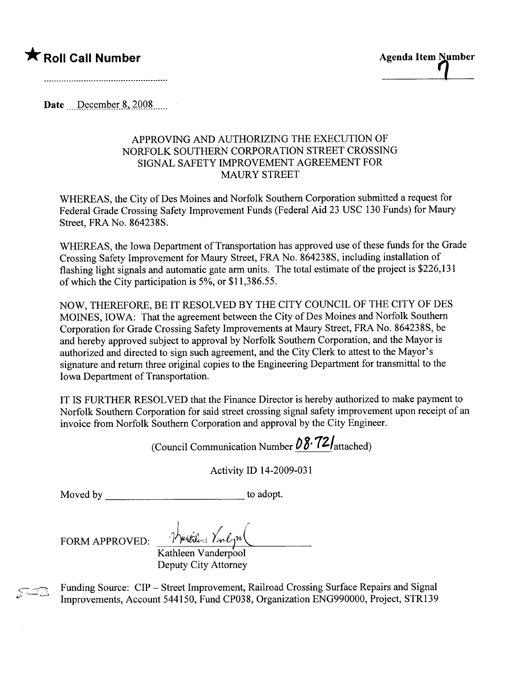

Date  $December~8,2008$ 

## APPROVING AND AUTHORIZING THE EXECUTION OF NORFOLK SOUTHERN CORPORATION STREET CROSSING SIGNAL SAFETY IMPROVEMENT AGREEMENT FOR MAURY STREET

WHEREAS, the City of Des Moines and Norfolk Southern Corporation submitted a request for Federal Grade Crossing Safety Improvement Funds (Federal Aid 23 USC 130 Funds) for Maury Street, FRA No. 864238S.

WHEREAS, the Iowa Department of Transportation has approved use of these funds for the Grade Crossing Safety Improvement for Maury Street, FRA No. 864238S, including installation of flashing light signals and automatic gate arm units. The total estimate of the project is \$226,131 of which the City paricipation is 5%, or \$11,386.55.

NOW, THEREFORE, BE IT RESOLVED BY THE CITY COUNCIL OF THE CITY OF DES MOINES, IOWA: That the agreement between the City of Des Moines and Norfolk Southern Corporation for Grade Crossing Safety Improvements at Maury Street, FRA No. 864238S, be and hereby approved subject to approval by Norfolk Southern Corporation, and the Mayor is authorized and directed to sign such agreement, and the City Clerk to attest to the Mayor's signature and return three original copies to the Engineering Department for transmittal to the Iowa Department of Transportation.

IT IS FURTHER RESOLVED that the Finance Director is hereby authorized to make payment to Norfolk Southern Corporation for said street crossing signal safety improvement upon receipt of an invoice from Norfolk Southern Corporation and approval by the City Engineer.

(Council Communication Number  $08.72$  attached)

Activity ID 14-2009-031

Moved by to adopt.

FORM APPROVED:

Justition Van Com

Kathleen Vanderpool Deputy City Attorney

Funding Source: CIP - Street Improvement, Railroad Crossing Surface Repairs and Signal Improvements, Account 544150, Fund CP038, Organization ENG990000, Project, STR139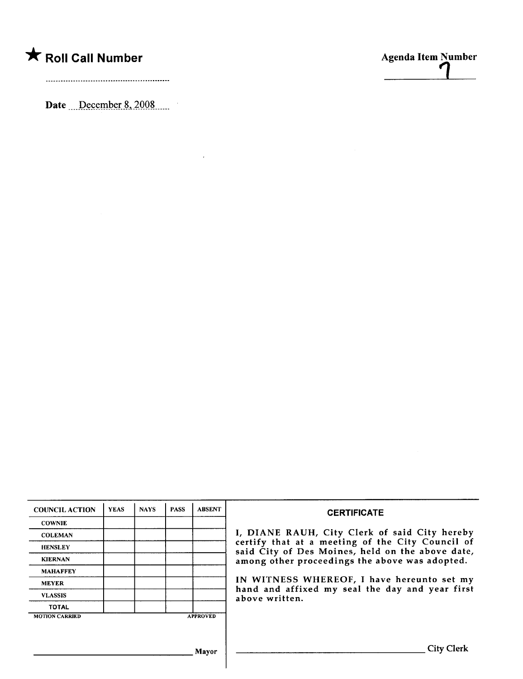## $\bigstar$  Roll Call Number

Date  $\therefore$  December 8, 2008

 $\sim$   $\sim$ 



| <b>COUNCIL ACTION</b> | <b>YEAS</b> | <b>NAYS</b> | <b>PASS</b> | <b>ABSENT</b>   | <b>CERTIFICATE</b>                                                                                                                                                                                      |  |
|-----------------------|-------------|-------------|-------------|-----------------|---------------------------------------------------------------------------------------------------------------------------------------------------------------------------------------------------------|--|
| <b>COWNIE</b>         |             |             |             |                 | I, DIANE RAUH, City Clerk of said City hereby<br>certify that at a meeting of the City Council of<br>said City of Des Moines, held on the above date,<br>among other proceedings the above was adopted. |  |
| <b>COLEMAN</b>        |             |             |             |                 |                                                                                                                                                                                                         |  |
| <b>HENSLEY</b>        |             |             |             |                 |                                                                                                                                                                                                         |  |
| <b>KIERNAN</b>        |             |             |             |                 |                                                                                                                                                                                                         |  |
| <b>MAHAFFEY</b>       |             |             |             |                 |                                                                                                                                                                                                         |  |
| <b>MEYER</b>          |             |             |             |                 | IN WITNESS WHEREOF, I have hereunto set my<br>hand and affixed my seal the day and year first                                                                                                           |  |
| <b>VLASSIS</b>        |             |             |             |                 | above written.                                                                                                                                                                                          |  |
| <b>TOTAL</b>          |             |             |             |                 |                                                                                                                                                                                                         |  |
| <b>MOTION CARRIED</b> |             |             |             | <b>APPROVED</b> |                                                                                                                                                                                                         |  |
|                       |             |             |             |                 |                                                                                                                                                                                                         |  |
|                       |             |             |             | Mayor           | City Clerk                                                                                                                                                                                              |  |